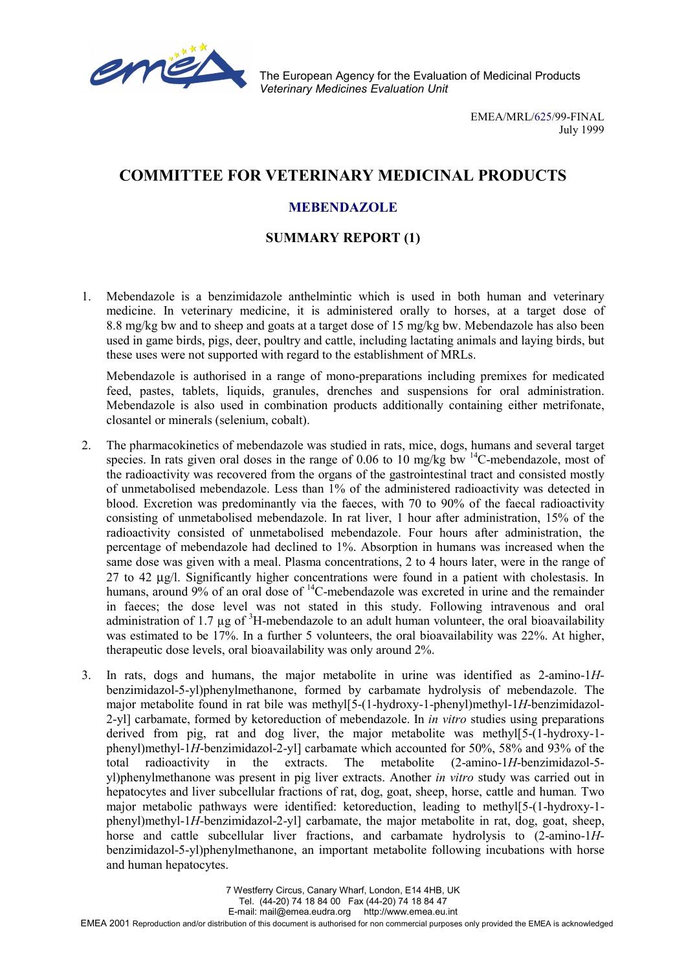

The European Agency for the Evaluation of Medicinal Products *Veterinary Medicines Evaluation Unit*

> EMEA/MRL/625/99-FINAL July 1999

# **COMMITTEE FOR VETERINARY MEDICINAL PRODUCTS**

# **MEBENDAZOLE**

### **SUMMARY REPORT (1)**

1. Mebendazole is a benzimidazole anthelmintic which is used in both human and veterinary medicine. In veterinary medicine, it is administered orally to horses, at a target dose of 8.8 mg/kg bw and to sheep and goats at a target dose of 15 mg/kg bw. Mebendazole has also been used in game birds, pigs, deer, poultry and cattle, including lactating animals and laying birds, but these uses were not supported with regard to the establishment of MRLs.

Mebendazole is authorised in a range of mono-preparations including premixes for medicated feed, pastes, tablets, liquids, granules, drenches and suspensions for oral administration. Mebendazole is also used in combination products additionally containing either metrifonate, closantel or minerals (selenium, cobalt).

- 2. The pharmacokinetics of mebendazole was studied in rats, mice, dogs, humans and several target species. In rats given oral doses in the range of 0.06 to 10 mg/kg bw  $^{14}$ C-mebendazole, most of the radioactivity was recovered from the organs of the gastrointestinal tract and consisted mostly of unmetabolised mebendazole. Less than 1% of the administered radioactivity was detected in blood. Excretion was predominantly via the faeces, with 70 to 90% of the faecal radioactivity consisting of unmetabolised mebendazole. In rat liver, 1 hour after administration, 15% of the radioactivity consisted of unmetabolised mebendazole. Four hours after administration, the percentage of mebendazole had declined to 1%. Absorption in humans was increased when the same dose was given with a meal. Plasma concentrations, 2 to 4 hours later, were in the range of 27 to 42 µg/l. Significantly higher concentrations were found in a patient with cholestasis. In humans, around 9% of an oral dose of <sup>14</sup>C-mebendazole was excreted in urine and the remainder in faeces; the dose level was not stated in this study. Following intravenous and oral administration of 1.7  $\mu$ g of  ${}^{3}$ H-mebendazole to an adult human volunteer, the oral bioavailability was estimated to be 17%. In a further 5 volunteers, the oral bioavailability was 22%. At higher, therapeutic dose levels, oral bioavailability was only around 2%.
- 3. In rats, dogs and humans, the major metabolite in urine was identified as 2-amino-1*H*benzimidazol-5-yl)phenylmethanone, formed by carbamate hydrolysis of mebendazole. The major metabolite found in rat bile was methyl[5-(1-hydroxy-1-phenyl)methyl-1*H*-benzimidazol-2-yl] carbamate, formed by ketoreduction of mebendazole. In *in vitro* studies using preparations derived from pig, rat and dog liver, the major metabolite was methyl[5-(1-hydroxy-1 phenyl)methyl-1*H*-benzimidazol-2-yl] carbamate which accounted for 50%, 58% and 93% of the total radioactivity in the extracts. The metabolite (2-amino-1*H*-benzimidazol-5 yl)phenylmethanone was present in pig liver extracts. Another *in vitro* study was carried out in hepatocytes and liver subcellular fractions of rat, dog, goat, sheep, horse, cattle and human*.* Two major metabolic pathways were identified: ketoreduction, leading to methyl[5-(1-hydroxy-1 phenyl)methyl-1*H*-benzimidazol-2-yl] carbamate, the major metabolite in rat, dog, goat, sheep, horse and cattle subcellular liver fractions, and carbamate hydrolysis to (2-amino-1*H*benzimidazol-5-yl)phenylmethanone, an important metabolite following incubations with horse and human hepatocytes.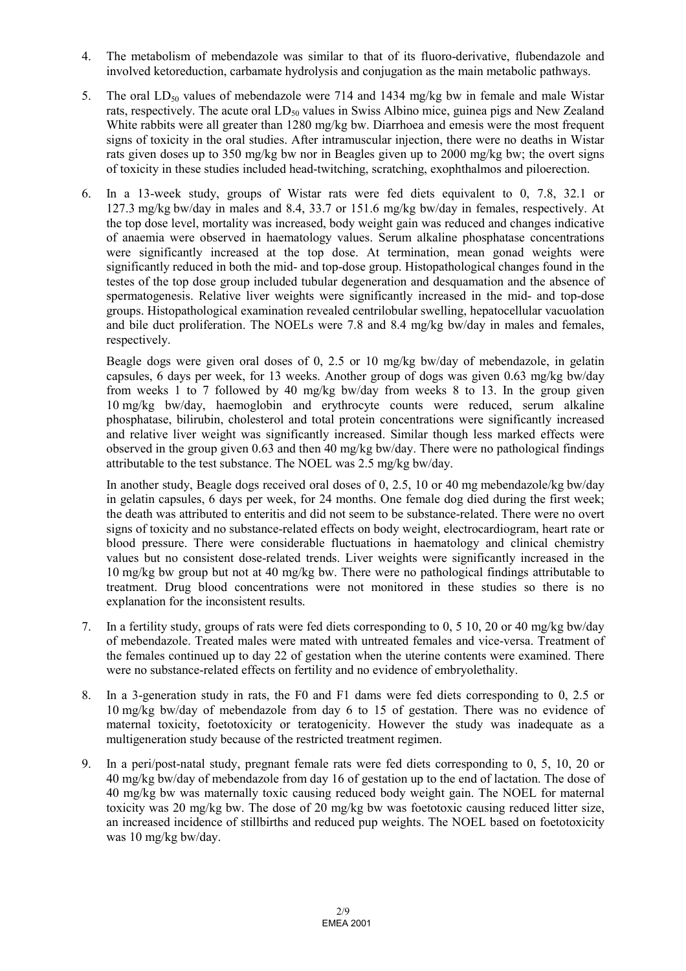- 4. The metabolism of mebendazole was similar to that of its fluoro-derivative, flubendazole and involved ketoreduction, carbamate hydrolysis and conjugation as the main metabolic pathways.
- 5. The oral  $LD_{50}$  values of mebendazole were 714 and 1434 mg/kg bw in female and male Wistar rats, respectively. The acute oral  $LD_{50}$  values in Swiss Albino mice, guinea pigs and New Zealand White rabbits were all greater than 1280 mg/kg bw. Diarrhoea and emesis were the most frequent signs of toxicity in the oral studies. After intramuscular injection, there were no deaths in Wistar rats given doses up to 350 mg/kg bw nor in Beagles given up to 2000 mg/kg bw; the overt signs of toxicity in these studies included head-twitching, scratching, exophthalmos and piloerection.
- 6. In a 13-week study, groups of Wistar rats were fed diets equivalent to 0, 7.8, 32.1 or 127.3 mg/kg bw/day in males and 8.4, 33.7 or 151.6 mg/kg bw/day in females, respectively. At the top dose level, mortality was increased, body weight gain was reduced and changes indicative of anaemia were observed in haematology values. Serum alkaline phosphatase concentrations were significantly increased at the top dose. At termination, mean gonad weights were significantly reduced in both the mid- and top-dose group. Histopathological changes found in the testes of the top dose group included tubular degeneration and desquamation and the absence of spermatogenesis. Relative liver weights were significantly increased in the mid- and top-dose groups. Histopathological examination revealed centrilobular swelling, hepatocellular vacuolation and bile duct proliferation. The NOELs were 7.8 and 8.4 mg/kg bw/day in males and females, respectively.

Beagle dogs were given oral doses of 0, 2.5 or 10 mg/kg bw/day of mebendazole, in gelatin capsules, 6 days per week, for 13 weeks. Another group of dogs was given 0.63 mg/kg bw/day from weeks 1 to 7 followed by 40 mg/kg bw/day from weeks 8 to 13. In the group given 10 mg/kg bw/day, haemoglobin and erythrocyte counts were reduced, serum alkaline phosphatase, bilirubin, cholesterol and total protein concentrations were significantly increased and relative liver weight was significantly increased. Similar though less marked effects were observed in the group given 0.63 and then 40 mg/kg bw/day. There were no pathological findings attributable to the test substance. The NOEL was 2.5 mg/kg bw/day.

In another study, Beagle dogs received oral doses of 0, 2.5, 10 or 40 mg mebendazole/kg bw/day in gelatin capsules, 6 days per week, for 24 months. One female dog died during the first week; the death was attributed to enteritis and did not seem to be substance-related. There were no overt signs of toxicity and no substance-related effects on body weight, electrocardiogram, heart rate or blood pressure. There were considerable fluctuations in haematology and clinical chemistry values but no consistent dose-related trends. Liver weights were significantly increased in the 10 mg/kg bw group but not at 40 mg/kg bw. There were no pathological findings attributable to treatment. Drug blood concentrations were not monitored in these studies so there is no explanation for the inconsistent results.

- 7. In a fertility study, groups of rats were fed diets corresponding to 0, 5 10, 20 or 40 mg/kg bw/day of mebendazole. Treated males were mated with untreated females and vice-versa. Treatment of the females continued up to day 22 of gestation when the uterine contents were examined. There were no substance-related effects on fertility and no evidence of embryolethality.
- 8. In a 3-generation study in rats, the F0 and F1 dams were fed diets corresponding to 0, 2.5 or 10 mg/kg bw/day of mebendazole from day 6 to 15 of gestation. There was no evidence of maternal toxicity, foetotoxicity or teratogenicity. However the study was inadequate as a multigeneration study because of the restricted treatment regimen.
- 9. In a peri/post-natal study, pregnant female rats were fed diets corresponding to 0, 5, 10, 20 or 40 mg/kg bw/day of mebendazole from day 16 of gestation up to the end of lactation. The dose of 40 mg/kg bw was maternally toxic causing reduced body weight gain. The NOEL for maternal toxicity was 20 mg/kg bw. The dose of 20 mg/kg bw was foetotoxic causing reduced litter size, an increased incidence of stillbirths and reduced pup weights. The NOEL based on foetotoxicity was 10 mg/kg bw/day.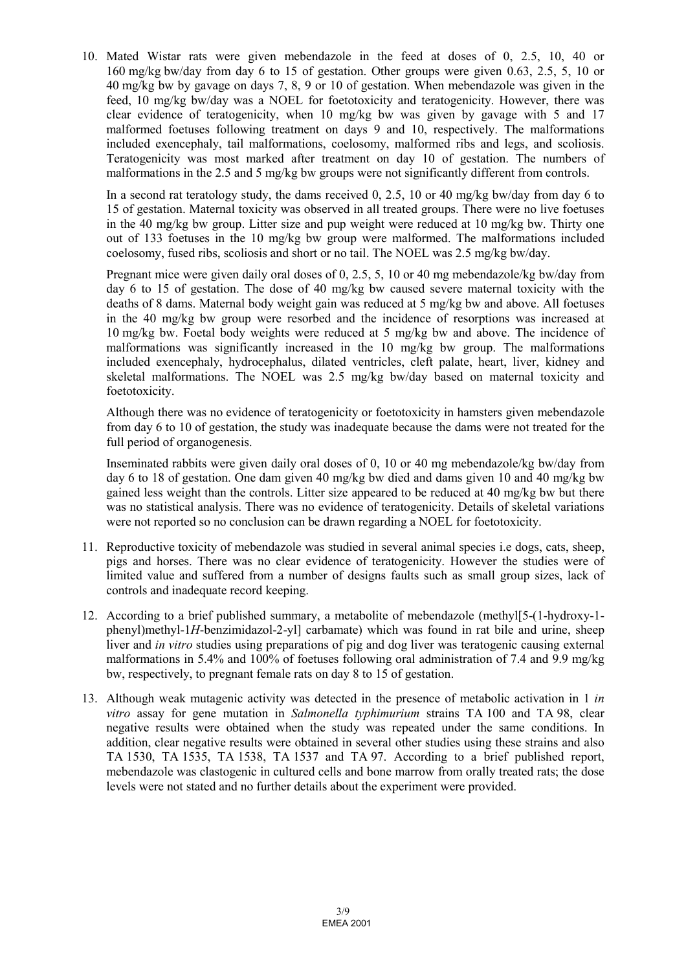10. Mated Wistar rats were given mebendazole in the feed at doses of 0, 2.5, 10, 40 or 160 mg/kg bw/day from day 6 to 15 of gestation. Other groups were given 0.63, 2.5, 5, 10 or 40 mg/kg bw by gavage on days 7, 8, 9 or 10 of gestation. When mebendazole was given in the feed, 10 mg/kg bw/day was a NOEL for foetotoxicity and teratogenicity. However, there was clear evidence of teratogenicity, when 10 mg/kg bw was given by gavage with 5 and 17 malformed foetuses following treatment on days 9 and 10, respectively. The malformations included exencephaly, tail malformations, coelosomy, malformed ribs and legs, and scoliosis. Teratogenicity was most marked after treatment on day 10 of gestation. The numbers of malformations in the 2.5 and 5 mg/kg bw groups were not significantly different from controls.

In a second rat teratology study, the dams received 0, 2.5, 10 or 40 mg/kg bw/day from day 6 to 15 of gestation. Maternal toxicity was observed in all treated groups. There were no live foetuses in the 40 mg/kg bw group. Litter size and pup weight were reduced at 10 mg/kg bw. Thirty one out of 133 foetuses in the 10 mg/kg bw group were malformed. The malformations included coelosomy, fused ribs, scoliosis and short or no tail. The NOEL was 2.5 mg/kg bw/day.

Pregnant mice were given daily oral doses of 0, 2.5, 5, 10 or 40 mg mebendazole/kg bw/day from day 6 to 15 of gestation. The dose of 40 mg/kg bw caused severe maternal toxicity with the deaths of 8 dams. Maternal body weight gain was reduced at 5 mg/kg bw and above. All foetuses in the 40 mg/kg bw group were resorbed and the incidence of resorptions was increased at 10 mg/kg bw. Foetal body weights were reduced at 5 mg/kg bw and above. The incidence of malformations was significantly increased in the 10 mg/kg bw group. The malformations included exencephaly, hydrocephalus, dilated ventricles, cleft palate, heart, liver, kidney and skeletal malformations. The NOEL was 2.5 mg/kg bw/day based on maternal toxicity and foetotoxicity.

Although there was no evidence of teratogenicity or foetotoxicity in hamsters given mebendazole from day 6 to 10 of gestation, the study was inadequate because the dams were not treated for the full period of organogenesis.

Inseminated rabbits were given daily oral doses of 0, 10 or 40 mg mebendazole/kg bw/day from day 6 to 18 of gestation. One dam given 40 mg/kg bw died and dams given 10 and 40 mg/kg bw gained less weight than the controls. Litter size appeared to be reduced at 40 mg/kg bw but there was no statistical analysis. There was no evidence of teratogenicity. Details of skeletal variations were not reported so no conclusion can be drawn regarding a NOEL for foetotoxicity.

- 11. Reproductive toxicity of mebendazole was studied in several animal species i.e dogs, cats, sheep, pigs and horses. There was no clear evidence of teratogenicity. However the studies were of limited value and suffered from a number of designs faults such as small group sizes, lack of controls and inadequate record keeping.
- 12. According to a brief published summary, a metabolite of mebendazole (methyl[5-(1-hydroxy-1 phenyl)methyl-1*H*-benzimidazol-2-yl] carbamate) which was found in rat bile and urine, sheep liver and *in vitro* studies using preparations of pig and dog liver was teratogenic causing external malformations in 5.4% and 100% of foetuses following oral administration of 7.4 and 9.9 mg/kg bw, respectively, to pregnant female rats on day 8 to 15 of gestation.
- 13. Although weak mutagenic activity was detected in the presence of metabolic activation in 1 *in vitro* assay for gene mutation in *Salmonella typhimurium* strains TA 100 and TA 98, clear negative results were obtained when the study was repeated under the same conditions. In addition, clear negative results were obtained in several other studies using these strains and also TA 1530, TA 1535, TA 1538, TA 1537 and TA 97. According to a brief published report, mebendazole was clastogenic in cultured cells and bone marrow from orally treated rats; the dose levels were not stated and no further details about the experiment were provided.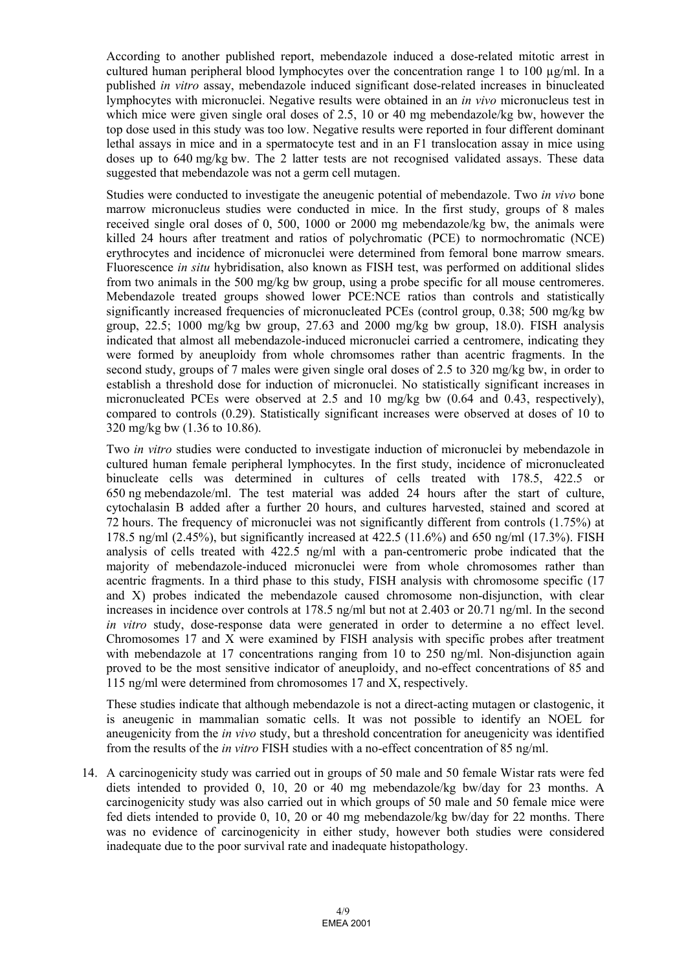According to another published report, mebendazole induced a dose-related mitotic arrest in cultured human peripheral blood lymphocytes over the concentration range 1 to 100  $\mu$ g/ml. In a published *in vitro* assay, mebendazole induced significant dose-related increases in binucleated lymphocytes with micronuclei. Negative results were obtained in an *in vivo* micronucleus test in which mice were given single oral doses of 2.5, 10 or 40 mg mebendazole/kg bw, however the top dose used in this study was too low. Negative results were reported in four different dominant lethal assays in mice and in a spermatocyte test and in an F1 translocation assay in mice using doses up to 640 mg/kg bw. The 2 latter tests are not recognised validated assays. These data suggested that mebendazole was not a germ cell mutagen.

Studies were conducted to investigate the aneugenic potential of mebendazole. Two *in vivo* bone marrow micronucleus studies were conducted in mice. In the first study, groups of 8 males received single oral doses of 0, 500, 1000 or 2000 mg mebendazole/kg bw, the animals were killed 24 hours after treatment and ratios of polychromatic (PCE) to normochromatic (NCE) erythrocytes and incidence of micronuclei were determined from femoral bone marrow smears. Fluorescence *in situ* hybridisation, also known as FISH test, was performed on additional slides from two animals in the 500 mg/kg bw group, using a probe specific for all mouse centromeres. Mebendazole treated groups showed lower PCE:NCE ratios than controls and statistically significantly increased frequencies of micronucleated PCEs (control group, 0.38; 500 mg/kg bw group,  $22.5$ ; 1000 mg/kg bw group,  $27.63$  and  $2000$  mg/kg bw group, 18.0). FISH analysis indicated that almost all mebendazole-induced micronuclei carried a centromere, indicating they were formed by aneuploidy from whole chromsomes rather than acentric fragments. In the second study, groups of 7 males were given single oral doses of 2.5 to 320 mg/kg bw, in order to establish a threshold dose for induction of micronuclei. No statistically significant increases in micronucleated PCEs were observed at 2.5 and 10 mg/kg bw (0.64 and 0.43, respectively), compared to controls (0.29). Statistically significant increases were observed at doses of 10 to 320 mg/kg bw (1.36 to 10.86).

Two *in vitro* studies were conducted to investigate induction of micronuclei by mebendazole in cultured human female peripheral lymphocytes. In the first study, incidence of micronucleated binucleate cells was determined in cultures of cells treated with 178.5, 422.5 or 650 ng mebendazole/ml. The test material was added 24 hours after the start of culture, cytochalasin B added after a further 20 hours, and cultures harvested, stained and scored at 72 hours. The frequency of micronuclei was not significantly different from controls (1.75%) at 178.5 ng/ml (2.45%), but significantly increased at 422.5 (11.6%) and 650 ng/ml (17.3%). FISH analysis of cells treated with 422.5 ng/ml with a pan-centromeric probe indicated that the majority of mebendazole-induced micronuclei were from whole chromosomes rather than acentric fragments. In a third phase to this study, FISH analysis with chromosome specific (17 and X) probes indicated the mebendazole caused chromosome non-disjunction, with clear increases in incidence over controls at 178.5 ng/ml but not at 2.403 or 20.71 ng/ml. In the second *in vitro* study, dose-response data were generated in order to determine a no effect level. Chromosomes 17 and X were examined by FISH analysis with specific probes after treatment with mebendazole at 17 concentrations ranging from 10 to 250 ng/ml. Non-disjunction again proved to be the most sensitive indicator of aneuploidy, and no-effect concentrations of 85 and 115 ng/ml were determined from chromosomes 17 and X, respectively.

These studies indicate that although mebendazole is not a direct-acting mutagen or clastogenic, it is aneugenic in mammalian somatic cells. It was not possible to identify an NOEL for aneugenicity from the *in vivo* study, but a threshold concentration for aneugenicity was identified from the results of the *in vitro* FISH studies with a no-effect concentration of 85 ng/ml.

14. A carcinogenicity study was carried out in groups of 50 male and 50 female Wistar rats were fed diets intended to provided 0, 10, 20 or 40 mg mebendazole/kg bw/day for 23 months. A carcinogenicity study was also carried out in which groups of 50 male and 50 female mice were fed diets intended to provide 0, 10, 20 or 40 mg mebendazole/kg bw/day for 22 months. There was no evidence of carcinogenicity in either study, however both studies were considered inadequate due to the poor survival rate and inadequate histopathology.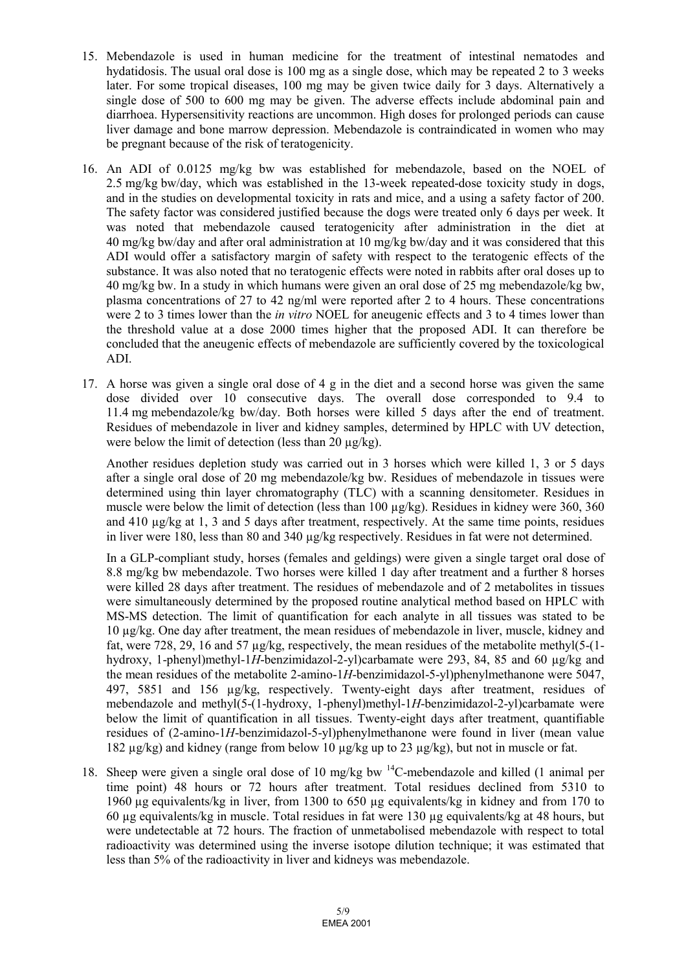- 15. Mebendazole is used in human medicine for the treatment of intestinal nematodes and hydatidosis. The usual oral dose is 100 mg as a single dose, which may be repeated 2 to 3 weeks later. For some tropical diseases, 100 mg may be given twice daily for 3 days. Alternatively a single dose of 500 to 600 mg may be given. The adverse effects include abdominal pain and diarrhoea. Hypersensitivity reactions are uncommon. High doses for prolonged periods can cause liver damage and bone marrow depression. Mebendazole is contraindicated in women who may be pregnant because of the risk of teratogenicity.
- 16. An ADI of 0.0125 mg/kg bw was established for mebendazole, based on the NOEL of 2.5 mg/kg bw/day, which was established in the 13-week repeated-dose toxicity study in dogs, and in the studies on developmental toxicity in rats and mice, and a using a safety factor of 200. The safety factor was considered justified because the dogs were treated only 6 days per week. It was noted that mebendazole caused teratogenicity after administration in the diet at 40 mg/kg bw/day and after oral administration at 10 mg/kg bw/day and it was considered that this ADI would offer a satisfactory margin of safety with respect to the teratogenic effects of the substance. It was also noted that no teratogenic effects were noted in rabbits after oral doses up to 40 mg/kg bw. In a study in which humans were given an oral dose of 25 mg mebendazole/kg bw, plasma concentrations of 27 to 42 ng/ml were reported after 2 to 4 hours. These concentrations were 2 to 3 times lower than the *in vitro* NOEL for aneugenic effects and 3 to 4 times lower than the threshold value at a dose 2000 times higher that the proposed ADI. It can therefore be concluded that the aneugenic effects of mebendazole are sufficiently covered by the toxicological ADI.
- 17. A horse was given a single oral dose of 4 g in the diet and a second horse was given the same dose divided over 10 consecutive days. The overall dose corresponded to 9.4 to 11.4 mg mebendazole/kg bw/day. Both horses were killed 5 days after the end of treatment. Residues of mebendazole in liver and kidney samples, determined by HPLC with UV detection, were below the limit of detection (less than 20  $\mu$ g/kg).

Another residues depletion study was carried out in 3 horses which were killed 1, 3 or 5 days after a single oral dose of 20 mg mebendazole/kg bw. Residues of mebendazole in tissues were determined using thin layer chromatography (TLC) with a scanning densitometer. Residues in muscle were below the limit of detection (less than 100  $\mu$ g/kg). Residues in kidney were 360, 360 and 410 µg/kg at 1, 3 and 5 days after treatment, respectively. At the same time points, residues in liver were 180, less than 80 and 340 µg/kg respectively. Residues in fat were not determined.

In a GLP-compliant study, horses (females and geldings) were given a single target oral dose of 8.8 mg/kg bw mebendazole. Two horses were killed 1 day after treatment and a further 8 horses were killed 28 days after treatment. The residues of mebendazole and of 2 metabolites in tissues were simultaneously determined by the proposed routine analytical method based on HPLC with MS-MS detection. The limit of quantification for each analyte in all tissues was stated to be 10 µg/kg. One day after treatment, the mean residues of mebendazole in liver, muscle, kidney and fat, were 728, 29, 16 and 57  $\mu$ g/kg, respectively, the mean residues of the metabolite methyl(5-(1hydroxy, 1-phenyl)methyl-1*H*-benzimidazol-2-yl)carbamate were 293, 84, 85 and 60 µg/kg and the mean residues of the metabolite 2-amino-1*H*-benzimidazol-5-yl)phenylmethanone were 5047, 497, 5851 and 156 µg/kg, respectively. Twenty-eight days after treatment, residues of mebendazole and methyl(5-(1-hydroxy, 1-phenyl)methyl-1*H*-benzimidazol-2-yl)carbamate were below the limit of quantification in all tissues. Twenty-eight days after treatment, quantifiable residues of (2-amino-1*H*-benzimidazol-5-yl)phenylmethanone were found in liver (mean value 182  $\mu$ g/kg) and kidney (range from below 10  $\mu$ g/kg up to 23  $\mu$ g/kg), but not in muscle or fat.

18. Sheep were given a single oral dose of 10 mg/kg bw 14C-mebendazole and killed (1 animal per time point) 48 hours or 72 hours after treatment. Total residues declined from 5310 to 1960 µg equivalents/kg in liver, from 1300 to 650 µg equivalents/kg in kidney and from 170 to 60 µg equivalents/kg in muscle. Total residues in fat were 130 µg equivalents/kg at 48 hours, but were undetectable at 72 hours. The fraction of unmetabolised mebendazole with respect to total radioactivity was determined using the inverse isotope dilution technique; it was estimated that less than 5% of the radioactivity in liver and kidneys was mebendazole.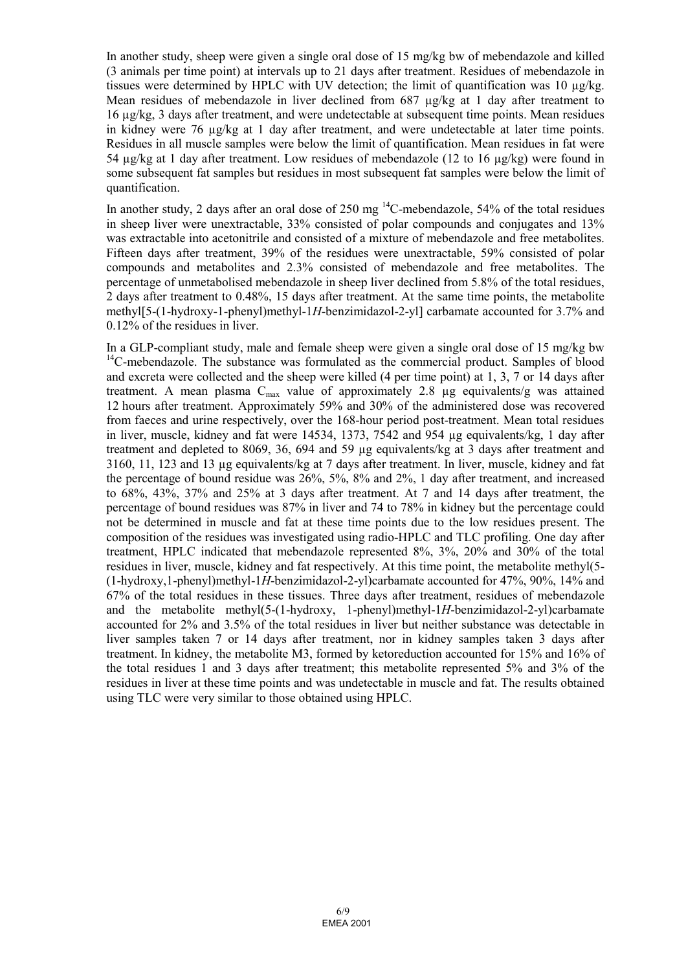In another study, sheep were given a single oral dose of 15 mg/kg bw of mebendazole and killed (3 animals per time point) at intervals up to 21 days after treatment. Residues of mebendazole in tissues were determined by HPLC with UV detection; the limit of quantification was 10 µg/kg. Mean residues of mebendazole in liver declined from 687  $\mu$ g/kg at 1 day after treatment to 16 µg/kg, 3 days after treatment, and were undetectable at subsequent time points. Mean residues in kidney were 76  $\mu$ g/kg at 1 day after treatment, and were undetectable at later time points. Residues in all muscle samples were below the limit of quantification. Mean residues in fat were 54 µg/kg at 1 day after treatment. Low residues of mebendazole (12 to 16 µg/kg) were found in some subsequent fat samples but residues in most subsequent fat samples were below the limit of quantification.

In another study, 2 days after an oral dose of  $250 \text{ mg}^{14}$ C-mebendazole,  $54\%$  of the total residues in sheep liver were unextractable, 33% consisted of polar compounds and conjugates and 13% was extractable into acetonitrile and consisted of a mixture of mebendazole and free metabolites. Fifteen days after treatment, 39% of the residues were unextractable, 59% consisted of polar compounds and metabolites and 2.3% consisted of mebendazole and free metabolites. The percentage of unmetabolised mebendazole in sheep liver declined from 5.8% of the total residues, 2 days after treatment to 0.48%, 15 days after treatment. At the same time points, the metabolite methyl[5-(1-hydroxy-1-phenyl)methyl-1*H*-benzimidazol-2-yl] carbamate accounted for 3.7% and 0.12% of the residues in liver.

In a GLP-compliant study, male and female sheep were given a single oral dose of 15 mg/kg bw  $14$ C-mebendazole. The substance was formulated as the commercial product. Samples of blood and excreta were collected and the sheep were killed (4 per time point) at 1, 3, 7 or 14 days after treatment. A mean plasma  $C_{\text{max}}$  value of approximately 2.8  $\mu$ g equivalents/g was attained 12 hours after treatment. Approximately 59% and 30% of the administered dose was recovered from faeces and urine respectively, over the 168-hour period post-treatment. Mean total residues in liver, muscle, kidney and fat were 14534, 1373, 7542 and 954 µg equivalents/kg, 1 day after treatment and depleted to 8069, 36, 694 and 59 µg equivalents/kg at 3 days after treatment and 3160, 11, 123 and 13 µg equivalents/kg at 7 days after treatment. In liver, muscle, kidney and fat the percentage of bound residue was 26%, 5%, 8% and 2%, 1 day after treatment, and increased to 68%, 43%, 37% and 25% at 3 days after treatment. At 7 and 14 days after treatment, the percentage of bound residues was 87% in liver and 74 to 78% in kidney but the percentage could not be determined in muscle and fat at these time points due to the low residues present. The composition of the residues was investigated using radio-HPLC and TLC profiling. One day after treatment, HPLC indicated that mebendazole represented 8%, 3%, 20% and 30% of the total residues in liver, muscle, kidney and fat respectively. At this time point, the metabolite methyl(5- (1-hydroxy,1-phenyl)methyl-1*H*-benzimidazol-2-yl)carbamate accounted for 47%, 90%, 14% and 67% of the total residues in these tissues. Three days after treatment, residues of mebendazole and the metabolite methyl(5-(1-hydroxy, 1-phenyl)methyl-1*H*-benzimidazol-2-yl)carbamate accounted for 2% and 3.5% of the total residues in liver but neither substance was detectable in liver samples taken 7 or 14 days after treatment, nor in kidney samples taken 3 days after treatment. In kidney, the metabolite M3, formed by ketoreduction accounted for 15% and 16% of the total residues 1 and 3 days after treatment; this metabolite represented 5% and 3% of the residues in liver at these time points and was undetectable in muscle and fat. The results obtained using TLC were very similar to those obtained using HPLC.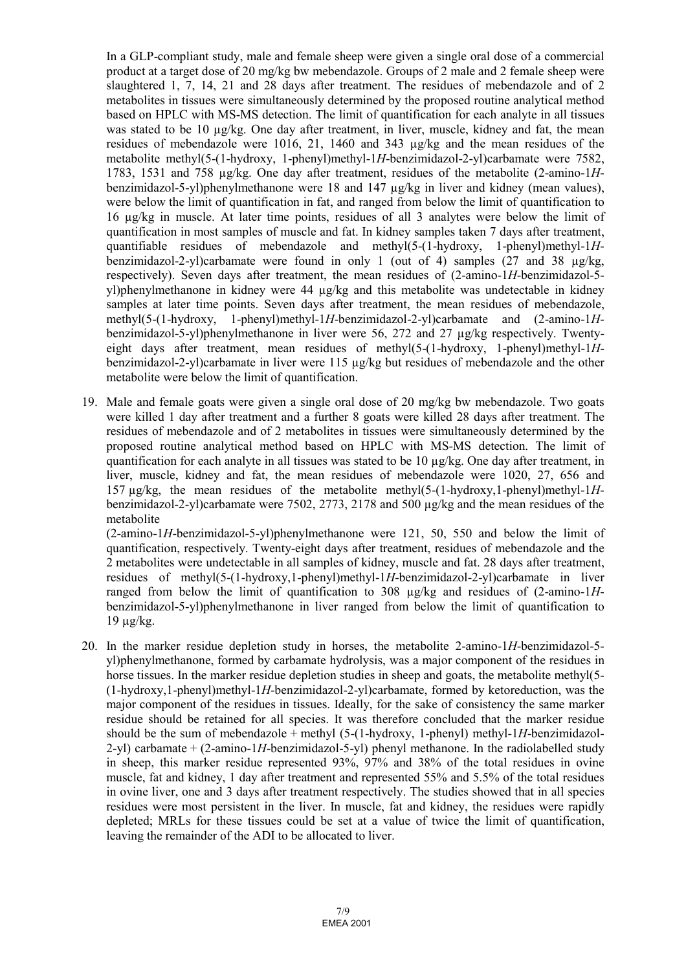In a GLP-compliant study, male and female sheep were given a single oral dose of a commercial product at a target dose of 20 mg/kg bw mebendazole. Groups of 2 male and 2 female sheep were slaughtered 1, 7, 14, 21 and 28 days after treatment. The residues of mebendazole and of 2 metabolites in tissues were simultaneously determined by the proposed routine analytical method based on HPLC with MS-MS detection. The limit of quantification for each analyte in all tissues was stated to be 10  $\mu$ g/kg. One day after treatment, in liver, muscle, kidney and fat, the mean residues of mebendazole were 1016, 21, 1460 and 343 µg/kg and the mean residues of the metabolite methyl(5-(1-hydroxy, 1-phenyl)methyl-1*H*-benzimidazol-2-yl)carbamate were 7582, 1783, 1531 and 758 µg/kg. One day after treatment, residues of the metabolite (2-amino-1*H*benzimidazol-5-yl)phenylmethanone were 18 and 147 µg/kg in liver and kidney (mean values), were below the limit of quantification in fat, and ranged from below the limit of quantification to 16 µg/kg in muscle. At later time points, residues of all 3 analytes were below the limit of quantification in most samples of muscle and fat. In kidney samples taken 7 days after treatment, quantifiable residues of mebendazole and methyl(5-(1-hydroxy, 1-phenyl)methyl-1*H*benzimidazol-2-yl)carbamate were found in only 1 (out of 4) samples (27 and 38 µg/kg, respectively). Seven days after treatment, the mean residues of (2-amino-1*H*-benzimidazol-5 yl)phenylmethanone in kidney were 44 µg/kg and this metabolite was undetectable in kidney samples at later time points. Seven days after treatment, the mean residues of mebendazole, methyl(5-(1-hydroxy, 1-phenyl)methyl-1*H*-benzimidazol-2-yl)carbamate and (2-amino-1*H*benzimidazol-5-yl)phenylmethanone in liver were 56, 272 and 27 µg/kg respectively. Twentyeight days after treatment, mean residues of methyl(5-(1-hydroxy, 1-phenyl)methyl-1*H*benzimidazol-2-yl)carbamate in liver were 115 µg/kg but residues of mebendazole and the other metabolite were below the limit of quantification.

19. Male and female goats were given a single oral dose of 20 mg/kg bw mebendazole. Two goats were killed 1 day after treatment and a further 8 goats were killed 28 days after treatment. The residues of mebendazole and of 2 metabolites in tissues were simultaneously determined by the proposed routine analytical method based on HPLC with MS-MS detection. The limit of quantification for each analyte in all tissues was stated to be 10 µg/kg. One day after treatment, in liver, muscle, kidney and fat, the mean residues of mebendazole were 1020, 27, 656 and 157 µg/kg, the mean residues of the metabolite methyl(5-(1-hydroxy,1-phenyl)methyl-1*H*benzimidazol-2-yl)carbamate were 7502, 2773, 2178 and 500 µg/kg and the mean residues of the metabolite

(2-amino-1*H*-benzimidazol-5-yl)phenylmethanone were 121, 50, 550 and below the limit of quantification, respectively. Twenty-eight days after treatment, residues of mebendazole and the 2 metabolites were undetectable in all samples of kidney, muscle and fat. 28 days after treatment, residues of methyl(5-(1-hydroxy,1-phenyl)methyl-1*H*-benzimidazol-2-yl)carbamate in liver ranged from below the limit of quantification to 308 µg/kg and residues of (2-amino-1*H*benzimidazol-5-yl)phenylmethanone in liver ranged from below the limit of quantification to  $19 \mu g/kg$ .

20. In the marker residue depletion study in horses, the metabolite 2-amino-1*H*-benzimidazol-5 yl)phenylmethanone, formed by carbamate hydrolysis, was a major component of the residues in horse tissues. In the marker residue depletion studies in sheep and goats, the metabolite methyl(5-(1-hydroxy,1-phenyl)methyl-1*H*-benzimidazol-2-yl)carbamate, formed by ketoreduction, was the major component of the residues in tissues. Ideally, for the sake of consistency the same marker residue should be retained for all species. It was therefore concluded that the marker residue should be the sum of mebendazole + methyl (5-(1-hydroxy, 1-phenyl) methyl-1*H*-benzimidazol-2-yl) carbamate + (2-amino-1*H*-benzimidazol-5-yl) phenyl methanone. In the radiolabelled study in sheep, this marker residue represented 93%, 97% and 38% of the total residues in ovine muscle, fat and kidney, 1 day after treatment and represented 55% and 5.5% of the total residues in ovine liver, one and 3 days after treatment respectively. The studies showed that in all species residues were most persistent in the liver. In muscle, fat and kidney, the residues were rapidly depleted; MRLs for these tissues could be set at a value of twice the limit of quantification, leaving the remainder of the ADI to be allocated to liver.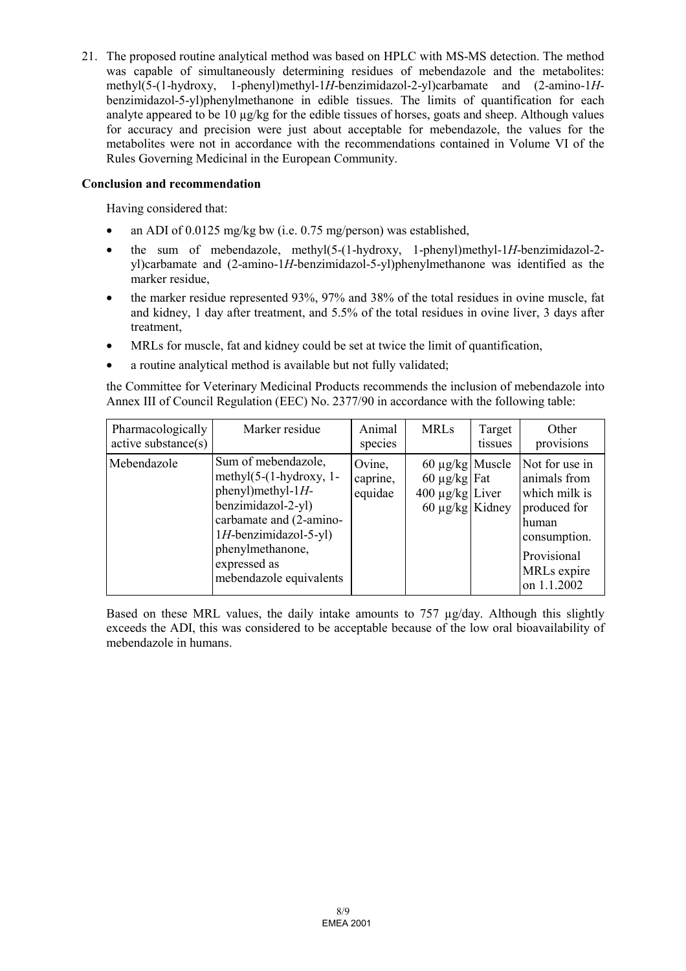21. The proposed routine analytical method was based on HPLC with MS-MS detection. The method was capable of simultaneously determining residues of mebendazole and the metabolites: methyl(5-(1-hydroxy, 1-phenyl)methyl-1*H*-benzimidazol-2-yl)carbamate and (2-amino-1*H*benzimidazol-5-yl)phenylmethanone in edible tissues. The limits of quantification for each analyte appeared to be 10 µg/kg for the edible tissues of horses, goats and sheep. Although values for accuracy and precision were just about acceptable for mebendazole, the values for the metabolites were not in accordance with the recommendations contained in Volume VI of the Rules Governing Medicinal in the European Community.

#### **Conclusion and recommendation**

Having considered that:

- an ADI of 0.0125 mg/kg bw (i.e. 0.75 mg/person) was established,
- the sum of mebendazole, methyl(5-(1-hydroxy, 1-phenyl)methyl-1*H*-benzimidazol-2 yl)carbamate and (2-amino-1*H*-benzimidazol-5-yl)phenylmethanone was identified as the marker residue,
- the marker residue represented 93%, 97% and 38% of the total residues in ovine muscle, fat and kidney, 1 day after treatment, and 5.5% of the total residues in ovine liver, 3 days after treatment,
- MRLs for muscle, fat and kidney could be set at twice the limit of quantification,
- a routine analytical method is available but not fully validated;

the Committee for Veterinary Medicinal Products recommends the inclusion of mebendazole into Annex III of Council Regulation (EEC) No. 2377/90 in accordance with the following table:

| Pharmacologically<br>active substance(s) | Marker residue                                                                                                                                                                                                             | Animal<br>species             | <b>MRLs</b>                                                                               | Target<br>tissues | Other<br>provisions                                                                                                                   |
|------------------------------------------|----------------------------------------------------------------------------------------------------------------------------------------------------------------------------------------------------------------------------|-------------------------------|-------------------------------------------------------------------------------------------|-------------------|---------------------------------------------------------------------------------------------------------------------------------------|
| Mebendazole                              | Sum of mebendazole,<br>methyl $(5-(1-hydroxy, 1-$<br>$phenyl$ ) methyl-1 $H$ -<br>benzimidazol-2-yl)<br>carbamate and (2-amino-<br>$1H$ -benzimidazol-5-yl)<br>phenylmethanone,<br>expressed as<br>mebendazole equivalents | Ovine,<br>caprine,<br>equidae | $60 \mu g/kg$ Muscle<br>60 $\mu$ g/kg Fat<br>$400 \mu g/kg$ Liver<br>60 $\mu$ g/kg Kidney |                   | Not for use in<br>animals from<br>which milk is<br>produced for<br>human<br>consumption.<br>Provisional<br>MRLs expire<br>on 1.1.2002 |

Based on these MRL values, the daily intake amounts to 757 ug/day. Although this slightly exceeds the ADI, this was considered to be acceptable because of the low oral bioavailability of mebendazole in humans.